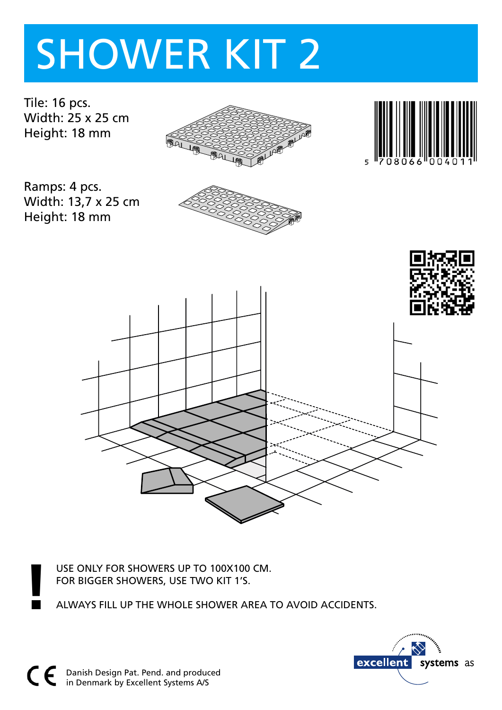# SHOWER KIT 2

Tile: 16 pcs. Width: 25 x 25 cm Height: 18 mm



Ramps: 4 pcs. Width: 13,7 x 25 cm Height: 18 mm







USE ONLY FOR SHOWERS UP TO 100X100 CM.

FOR BIGGER SHOWERS, USE TWO KIT 1'S. **!** ALWAYS FILL UP THE WHOLE SHOWER AREA TO AVOID ACCIDENTS.

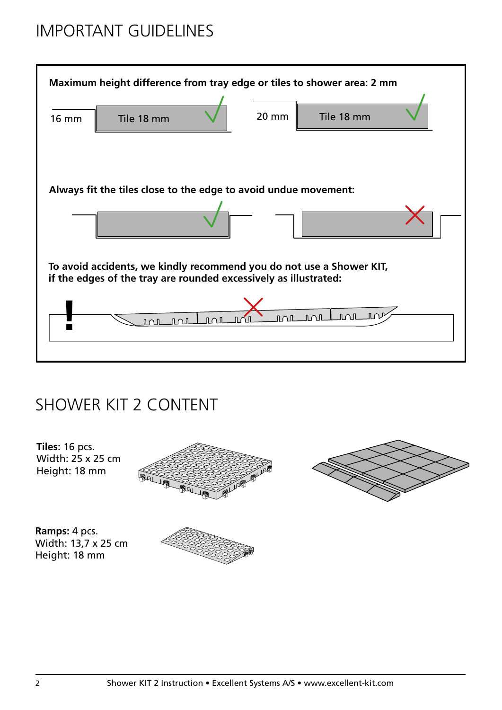## IMPORTANT GUIDELINES



#### SHOWER KIT 2 CONTENT



Height: 18 mm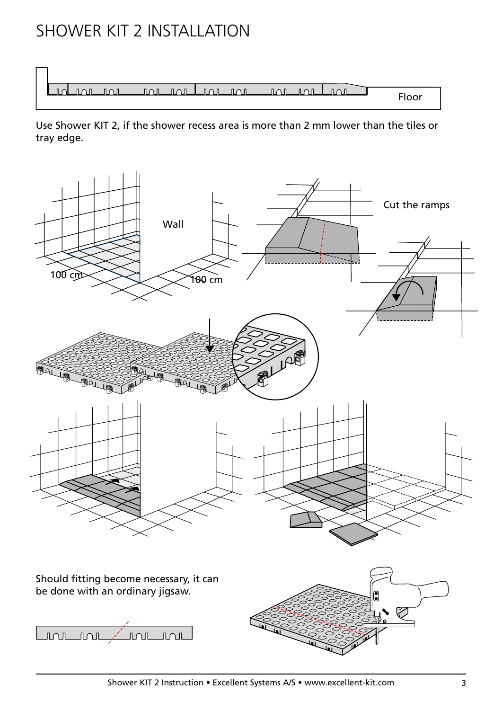### SHOWER KIT 2 INSTALLATION



Use Shower KIT 2, if the shower recess area is more than 2 mm lower than the tiles or tray edge.